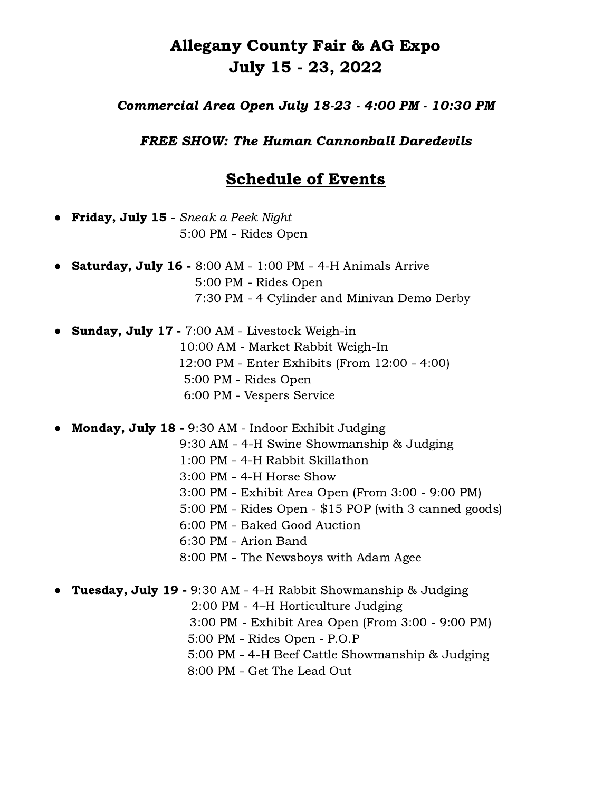## Allegany County Fair & AG Expo July 15 - 23, 2022

## Commercial Area Open July 18-23 - 4:00 PM - 10:30 PM

FREE SHOW: The Human Cannonball Daredevils

## Schedule of Events

**Friday, July 15** - Sneak a Peek Night 5:00 PM - Rides Open

- **Saturday, July 16 -** 8:00 AM 1:00 PM 4-H Animals Arrive 5:00 PM - Rides Open 7:30 PM - 4 Cylinder and Minivan Demo Derby
- Sunday, July 17 7:00 AM Livestock Weigh-in 10:00 AM - Market Rabbit Weigh-In 12:00 PM - Enter Exhibits (From 12:00 - 4:00) 5:00 PM - Rides Open 6:00 PM - Vespers Service

**Monday, July 18 -** 9:30 AM - Indoor Exhibit Judging

- 9:30 AM 4-H Swine Showmanship & Judging
- 1:00 PM 4-H Rabbit Skillathon
- 3:00 PM 4-H Horse Show
- 3:00 PM Exhibit Area Open (From 3:00 9:00 PM)
- 5:00 PM Rides Open \$15 POP (with 3 canned goods)
- 6:00 PM Baked Good Auction
- 6:30 PM Arion Band
- 8:00 PM The Newsboys with Adam Agee
- **Tuesday, July 19 -** 9:30 AM 4-H Rabbit Showmanship & Judging
	- 2:00 PM 4–H Horticulture Judging
	- 3:00 PM Exhibit Area Open (From 3:00 9:00 PM)
	- 5:00 PM Rides Open P.O.P
	- 5:00 PM 4-H Beef Cattle Showmanship & Judging
	- 8:00 PM Get The Lead Out